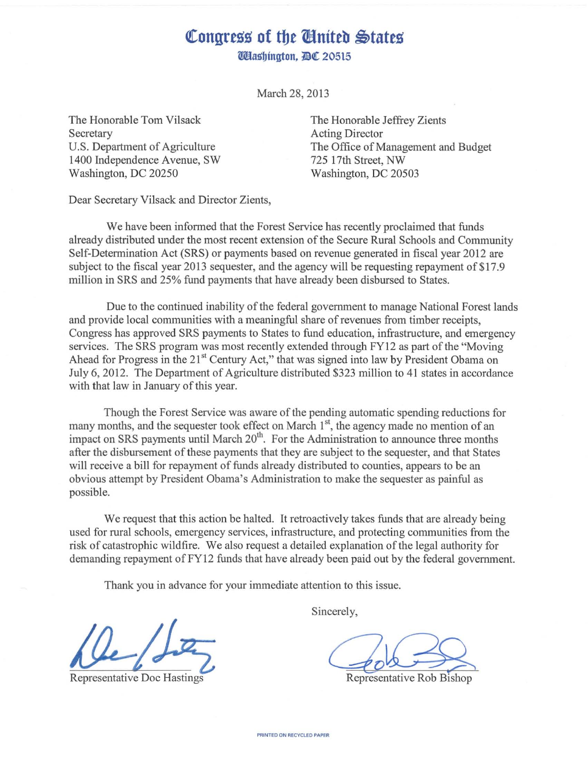## Congress of the **Chatted** States **Włashington, DC 20515**

March 28, 2013

The Honorable Tom Vilsack Secretary U.S. Department of Agriculture 1400 Independence Avenue, SW Washington, DC 20250

The Honorable Jeffrey Zients Acting Director The Office of Management and Budget 725 17th Street, NW Washington, DC 20503

Dear Secretary Vilsack and Director Zients,

We have been informed that the Forest Service has recently proclaimed that funds already distributed under the most recent extension of the Secure Rural Schools and Community Self-Determination Act (SRS) or payments based on revenue generated in fiscal year 2012 are subject to the fiscal year 2013 sequester, and the agency will be requesting repayment of \$17.9 million in SRS and 25% fund payments that have already been disbursed to States.

Due to the continued inability of the federal government to manage National Forest lands and provide local communities with a meaningful share of revenues from timber receipts, Congress has approved SRS payments to States to fund education, infrastructure, and emergency services. The SRS program was most recently extended through FY12 as part of the "Moving Ahead for Progress in the 21<sup>st</sup> Century Act," that was signed into law by President Obama on July 6, 2012. The Department of Agriculture distributed \$323 million to 41 states in accordance with that law in January of this year.

Though the Forest Service was aware of the pending automatic spending reductions for many months, and the sequester took effect on March  $1<sup>st</sup>$ , the agency made no mention of an impact on SRS payments until March 20<sup>th</sup>. For the Administration to announce three months after the disbursement of these payments that they are subject to the sequester, and that States will receive a bill for repayment of funds already distributed to counties, appears to be an obvious attempt by President Obama's Administration to make the sequester as painful as possible.

We request that this action be halted. It retroactively takes funds that are already being used for rural schools, emergency services, infrastructure, and protecting communities from the risk of catastrophic wildfire. We also request a detailed explanation of the legal authority for demanding repayment ofFY12 funds that have already been paid out by the federal government.

Thank you in advance for your immediate attention to this issue.

Sincerely,

 $\frac{L}{R}$ <br>Representative Doc Hastings Representative Rob Bishop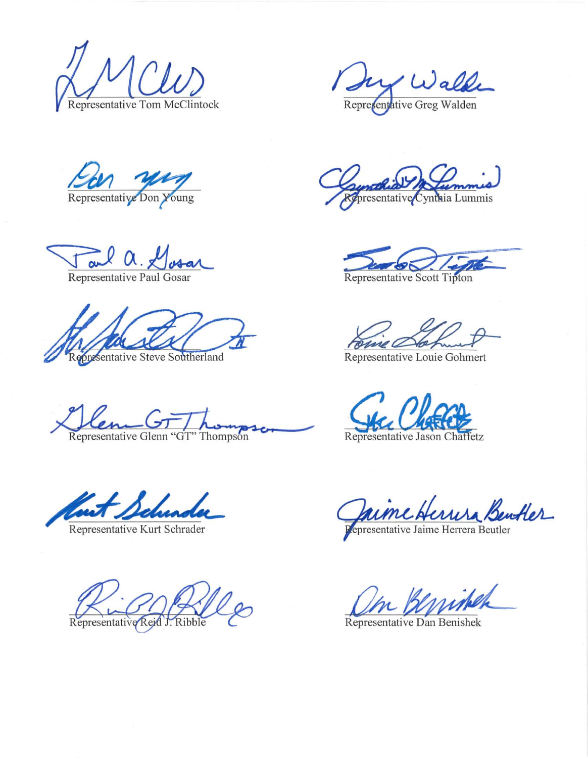Representative Tom McClintock Representative Greg Walden

Representative Don Young

 $\frac{1}{\sqrt{\frac{1}{\sqrt{1+\frac{1}{\sqrt{1+\frac{1}{\sqrt{1+\frac{1}{\sqrt{1+\frac{1}{\sqrt{1+\frac{1}{\sqrt{1+\frac{1}{\sqrt{1+\frac{1}{\sqrt{1+\frac{1}{\sqrt{1+\frac{1}{\sqrt{1+\frac{1}{\sqrt{1+\frac{1}{\sqrt{1+\frac{1}{\sqrt{1+\frac{1}{\sqrt{1+\frac{1}{\sqrt{1+\frac{1}{\sqrt{1+\frac{1}{\sqrt{1+\frac{1}{\sqrt{1+\frac{1}{\sqrt{1+\frac{1}{\sqrt{1+\frac{1}{\sqrt{1+\frac{1}{\sqrt{1+\frac{1}{\sqrt{1+\frac{1}{\sqrt$ 

**Opresentative Steve Southerland** 

**M+-· G-Fj** /...~ . ~\_, **\_,** Representative Glenn HGT" Thompson

wet Schunde

Representative Reid

Champellia De Cummis

Representative Scott Tipton

anno C

Representative Louie Gohrnert

Gaime Herrisa Bentler

Un Benishek

Representative